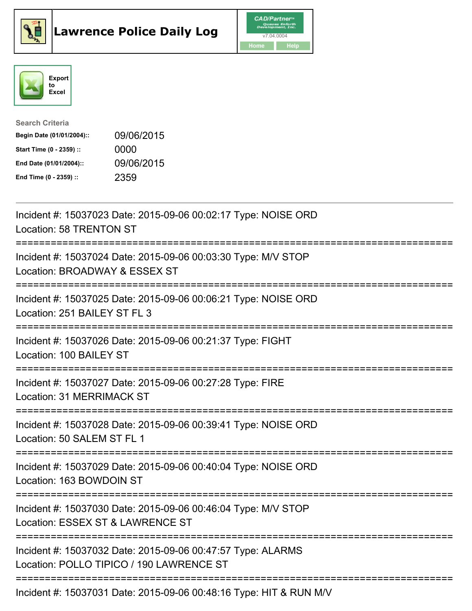





| <b>Search Criteria</b>    |            |
|---------------------------|------------|
| Begin Date (01/01/2004):: | 09/06/2015 |
| Start Time (0 - 2359) ::  | 0000       |
| End Date (01/01/2004)::   | 09/06/2015 |
| End Time (0 - 2359) ::    | 2359       |

| Incident #: 15037023 Date: 2015-09-06 00:02:17 Type: NOISE ORD<br>Location: 58 TRENTON ST                                      |
|--------------------------------------------------------------------------------------------------------------------------------|
| Incident #: 15037024 Date: 2015-09-06 00:03:30 Type: M/V STOP<br>Location: BROADWAY & ESSEX ST                                 |
| Incident #: 15037025 Date: 2015-09-06 00:06:21 Type: NOISE ORD<br>Location: 251 BAILEY ST FL 3                                 |
| Incident #: 15037026 Date: 2015-09-06 00:21:37 Type: FIGHT<br>Location: 100 BAILEY ST                                          |
| Incident #: 15037027 Date: 2015-09-06 00:27:28 Type: FIRE<br><b>Location: 31 MERRIMACK ST</b>                                  |
| Incident #: 15037028 Date: 2015-09-06 00:39:41 Type: NOISE ORD<br>Location: 50 SALEM ST FL 1                                   |
| Incident #: 15037029 Date: 2015-09-06 00:40:04 Type: NOISE ORD<br>Location: 163 BOWDOIN ST<br>:=============================== |
| Incident #: 15037030 Date: 2015-09-06 00:46:04 Type: M/V STOP<br>Location: ESSEX ST & LAWRENCE ST                              |
| Incident #: 15037032 Date: 2015-09-06 00:47:57 Type: ALARMS<br>Location: POLLO TIPICO / 190 LAWRENCE ST                        |
| $I_{\text{no}}$ ident # $I_{\text{no}}$ 45007004 Deter 2045 00.06 00:40:46 Tune UUT 8 DUNIMAL                                  |

Incident #: 15037031 Date: 2015-09-06 00:48:16 Type: HIT & RUN M/V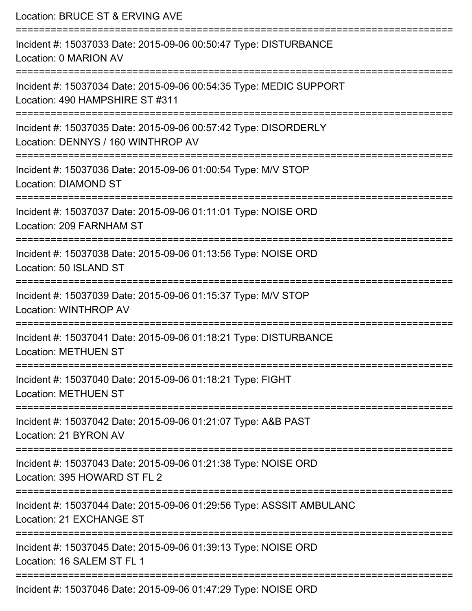Location: BRUCE ST & ERVING AVE =========================================================================== Incident #: 15037033 Date: 2015-09-06 00:50:47 Type: DISTURBANCE Location: 0 MARION AV =========================================================================== Incident #: 15037034 Date: 2015-09-06 00:54:35 Type: MEDIC SUPPORT Location: 490 HAMPSHIRE ST #311 =========================================================================== Incident #: 15037035 Date: 2015-09-06 00:57:42 Type: DISORDERLY Location: DENNYS / 160 WINTHROP AV =========================================================================== Incident #: 15037036 Date: 2015-09-06 01:00:54 Type: M/V STOP Location: DIAMOND ST =========================================================================== Incident #: 15037037 Date: 2015-09-06 01:11:01 Type: NOISE ORD Location: 209 FARNHAM ST =========================================================================== Incident #: 15037038 Date: 2015-09-06 01:13:56 Type: NOISE ORD Location: 50 ISLAND ST =========================================================================== Incident #: 15037039 Date: 2015-09-06 01:15:37 Type: M/V STOP Location: WINTHROP AV =========================================================================== Incident #: 15037041 Date: 2015-09-06 01:18:21 Type: DISTURBANCE Location: METHUEN ST =========================================================================== Incident #: 15037040 Date: 2015-09-06 01:18:21 Type: FIGHT Location: METHUEN ST =========================================================================== Incident #: 15037042 Date: 2015-09-06 01:21:07 Type: A&B PAST Location: 21 BYRON AV =========================================================================== Incident #: 15037043 Date: 2015-09-06 01:21:38 Type: NOISE ORD Location: 395 HOWARD ST FL 2 =========================================================================== Incident #: 15037044 Date: 2015-09-06 01:29:56 Type: ASSSIT AMBULANC Location: 21 EXCHANGE ST =========================================================================== Incident #: 15037045 Date: 2015-09-06 01:39:13 Type: NOISE ORD Location: 16 SALEM ST FL 1 =========================================================================== Incident #: 15037046 Date: 2015-09-06 01:47:29 Type: NOISE ORD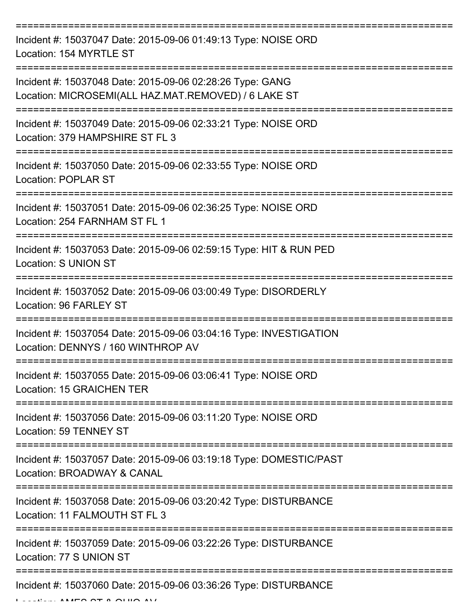| Incident #: 15037047 Date: 2015-09-06 01:49:13 Type: NOISE ORD<br>Location: 154 MYRTLE ST                         |
|-------------------------------------------------------------------------------------------------------------------|
| Incident #: 15037048 Date: 2015-09-06 02:28:26 Type: GANG<br>Location: MICROSEMI(ALL HAZ.MAT.REMOVED) / 6 LAKE ST |
| Incident #: 15037049 Date: 2015-09-06 02:33:21 Type: NOISE ORD<br>Location: 379 HAMPSHIRE ST FL 3                 |
| Incident #: 15037050 Date: 2015-09-06 02:33:55 Type: NOISE ORD<br>Location: POPLAR ST                             |
| Incident #: 15037051 Date: 2015-09-06 02:36:25 Type: NOISE ORD<br>Location: 254 FARNHAM ST FL 1                   |
| Incident #: 15037053 Date: 2015-09-06 02:59:15 Type: HIT & RUN PED<br>Location: S UNION ST                        |
| Incident #: 15037052 Date: 2015-09-06 03:00:49 Type: DISORDERLY<br>Location: 96 FARLEY ST                         |
| Incident #: 15037054 Date: 2015-09-06 03:04:16 Type: INVESTIGATION<br>Location: DENNYS / 160 WINTHROP AV          |
| Incident #: 15037055 Date: 2015-09-06 03:06:41 Type: NOISE ORD<br>Location: 15 GRAICHEN TER                       |
| Incident #: 15037056 Date: 2015-09-06 03:11:20 Type: NOISE ORD<br>Location: 59 TENNEY ST                          |
| Incident #: 15037057 Date: 2015-09-06 03:19:18 Type: DOMESTIC/PAST<br>Location: BROADWAY & CANAL                  |
| Incident #: 15037058 Date: 2015-09-06 03:20:42 Type: DISTURBANCE<br>Location: 11 FALMOUTH ST FL 3                 |
| Incident #: 15037059 Date: 2015-09-06 03:22:26 Type: DISTURBANCE<br>Location: 77 S UNION ST                       |
| Incident #: 15037060 Date: 2015-09-06 03:36:26 Type: DISTURBANCE                                                  |

 $L = L L L L$  AMES ST & OHIO AV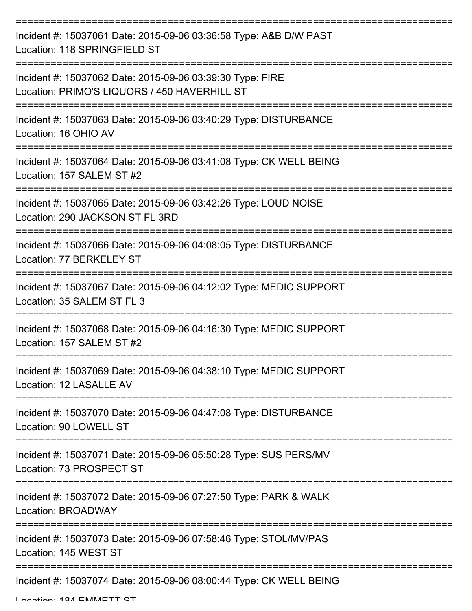| Incident #: 15037061 Date: 2015-09-06 03:36:58 Type: A&B D/W PAST<br>Location: 118 SPRINGFIELD ST         |
|-----------------------------------------------------------------------------------------------------------|
| Incident #: 15037062 Date: 2015-09-06 03:39:30 Type: FIRE<br>Location: PRIMO'S LIQUORS / 450 HAVERHILL ST |
| Incident #: 15037063 Date: 2015-09-06 03:40:29 Type: DISTURBANCE<br>Location: 16 OHIO AV                  |
| Incident #: 15037064 Date: 2015-09-06 03:41:08 Type: CK WELL BEING<br>Location: 157 SALEM ST #2           |
| Incident #: 15037065 Date: 2015-09-06 03:42:26 Type: LOUD NOISE<br>Location: 290 JACKSON ST FL 3RD        |
| Incident #: 15037066 Date: 2015-09-06 04:08:05 Type: DISTURBANCE<br>Location: 77 BERKELEY ST              |
| Incident #: 15037067 Date: 2015-09-06 04:12:02 Type: MEDIC SUPPORT<br>Location: 35 SALEM ST FL 3          |
| Incident #: 15037068 Date: 2015-09-06 04:16:30 Type: MEDIC SUPPORT<br>Location: 157 SALEM ST #2           |
| Incident #: 15037069 Date: 2015-09-06 04:38:10 Type: MEDIC SUPPORT<br>Location: 12 LASALLE AV             |
| Incident #: 15037070 Date: 2015-09-06 04:47:08 Type: DISTURBANCE<br>Location: 90 LOWELL ST                |
| Incident #: 15037071 Date: 2015-09-06 05:50:28 Type: SUS PERS/MV<br>Location: 73 PROSPECT ST              |
| Incident #: 15037072 Date: 2015-09-06 07:27:50 Type: PARK & WALK<br>Location: BROADWAY                    |
| Incident #: 15037073 Date: 2015-09-06 07:58:46 Type: STOL/MV/PAS<br>Location: 145 WEST ST                 |
| Incident #: 15037074 Date: 2015-09-06 08:00:44 Type: CK WELL BEING                                        |

Location: 184 EMMETT ST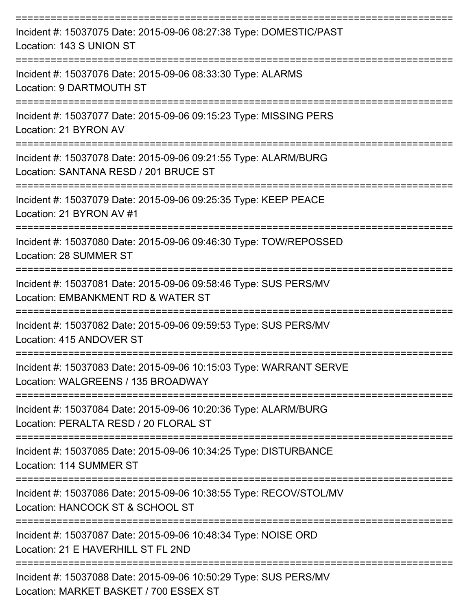| Incident #: 15037075 Date: 2015-09-06 08:27:38 Type: DOMESTIC/PAST<br>Location: 143 S UNION ST             |
|------------------------------------------------------------------------------------------------------------|
| Incident #: 15037076 Date: 2015-09-06 08:33:30 Type: ALARMS<br>Location: 9 DARTMOUTH ST                    |
| Incident #: 15037077 Date: 2015-09-06 09:15:23 Type: MISSING PERS<br>Location: 21 BYRON AV                 |
| Incident #: 15037078 Date: 2015-09-06 09:21:55 Type: ALARM/BURG<br>Location: SANTANA RESD / 201 BRUCE ST   |
| Incident #: 15037079 Date: 2015-09-06 09:25:35 Type: KEEP PEACE<br>Location: 21 BYRON AV #1                |
| Incident #: 15037080 Date: 2015-09-06 09:46:30 Type: TOW/REPOSSED<br>Location: 28 SUMMER ST                |
| Incident #: 15037081 Date: 2015-09-06 09:58:46 Type: SUS PERS/MV<br>Location: EMBANKMENT RD & WATER ST     |
| Incident #: 15037082 Date: 2015-09-06 09:59:53 Type: SUS PERS/MV<br>Location: 415 ANDOVER ST               |
| Incident #: 15037083 Date: 2015-09-06 10:15:03 Type: WARRANT SERVE<br>Location: WALGREENS / 135 BROADWAY   |
| Incident #: 15037084 Date: 2015-09-06 10:20:36 Type: ALARM/BURG<br>Location: PERALTA RESD / 20 FLORAL ST   |
| Incident #: 15037085 Date: 2015-09-06 10:34:25 Type: DISTURBANCE<br>Location: 114 SUMMER ST                |
| Incident #: 15037086 Date: 2015-09-06 10:38:55 Type: RECOV/STOL/MV<br>Location: HANCOCK ST & SCHOOL ST     |
| Incident #: 15037087 Date: 2015-09-06 10:48:34 Type: NOISE ORD<br>Location: 21 E HAVERHILL ST FL 2ND       |
| Incident #: 15037088 Date: 2015-09-06 10:50:29 Type: SUS PERS/MV<br>Location: MARKET BASKET / 700 ESSEX ST |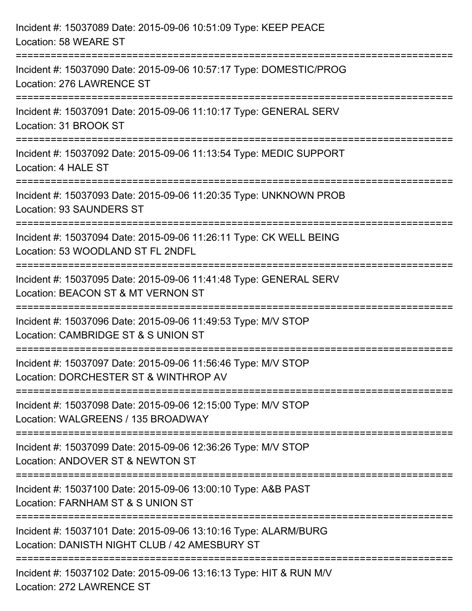| Incident #: 15037089 Date: 2015-09-06 10:51:09 Type: KEEP PEACE<br>Location: 58 WEARE ST                                             |
|--------------------------------------------------------------------------------------------------------------------------------------|
| =================================<br>Incident #: 15037090 Date: 2015-09-06 10:57:17 Type: DOMESTIC/PROG<br>Location: 276 LAWRENCE ST |
| Incident #: 15037091 Date: 2015-09-06 11:10:17 Type: GENERAL SERV<br>Location: 31 BROOK ST<br>===============================        |
| Incident #: 15037092 Date: 2015-09-06 11:13:54 Type: MEDIC SUPPORT<br>Location: 4 HALE ST                                            |
| Incident #: 15037093 Date: 2015-09-06 11:20:35 Type: UNKNOWN PROB<br><b>Location: 93 SAUNDERS ST</b>                                 |
| Incident #: 15037094 Date: 2015-09-06 11:26:11 Type: CK WELL BEING<br>Location: 53 WOODLAND ST FL 2NDFL                              |
| Incident #: 15037095 Date: 2015-09-06 11:41:48 Type: GENERAL SERV<br>Location: BEACON ST & MT VERNON ST                              |
| Incident #: 15037096 Date: 2015-09-06 11:49:53 Type: M/V STOP<br>Location: CAMBRIDGE ST & S UNION ST                                 |
| Incident #: 15037097 Date: 2015-09-06 11:56:46 Type: M/V STOP<br>Location: DORCHESTER ST & WINTHROP AV                               |
| Incident #: 15037098 Date: 2015-09-06 12:15:00 Type: M/V STOP<br>Location: WALGREENS / 135 BROADWAY                                  |
| Incident #: 15037099 Date: 2015-09-06 12:36:26 Type: M/V STOP<br>Location: ANDOVER ST & NEWTON ST                                    |
| Incident #: 15037100 Date: 2015-09-06 13:00:10 Type: A&B PAST<br>Location: FARNHAM ST & S UNION ST                                   |
| Incident #: 15037101 Date: 2015-09-06 13:10:16 Type: ALARM/BURG<br>Location: DANISTH NIGHT CLUB / 42 AMESBURY ST                     |
| Incident #: 15037102 Date: 2015-09-06 13:16:13 Type: HIT & RUN M/V<br>Location: 272 LAWRENCE ST                                      |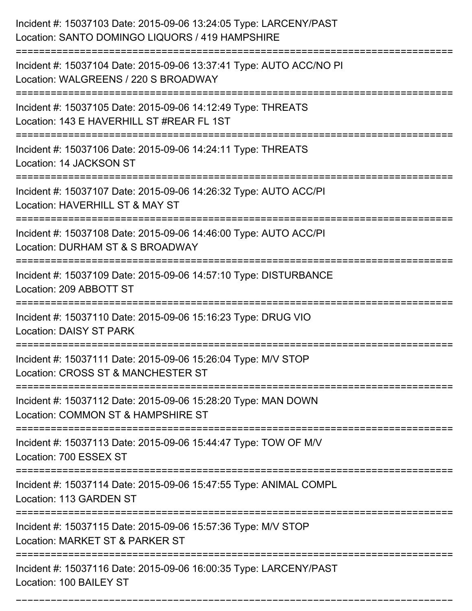| Incident #: 15037103 Date: 2015-09-06 13:24:05 Type: LARCENY/PAST<br>Location: SANTO DOMINGO LIQUORS / 419 HAMPSHIRE                                                  |
|-----------------------------------------------------------------------------------------------------------------------------------------------------------------------|
| Incident #: 15037104 Date: 2015-09-06 13:37:41 Type: AUTO ACC/NO PI<br>Location: WALGREENS / 220 S BROADWAY                                                           |
| Incident #: 15037105 Date: 2015-09-06 14:12:49 Type: THREATS<br>Location: 143 E HAVERHILL ST #REAR FL 1ST<br>============================<br>:======================= |
| Incident #: 15037106 Date: 2015-09-06 14:24:11 Type: THREATS<br>Location: 14 JACKSON ST                                                                               |
| Incident #: 15037107 Date: 2015-09-06 14:26:32 Type: AUTO ACC/PI<br>Location: HAVERHILL ST & MAY ST                                                                   |
| Incident #: 15037108 Date: 2015-09-06 14:46:00 Type: AUTO ACC/PI<br>Location: DURHAM ST & S BROADWAY                                                                  |
| Incident #: 15037109 Date: 2015-09-06 14:57:10 Type: DISTURBANCE<br>Location: 209 ABBOTT ST                                                                           |
| Incident #: 15037110 Date: 2015-09-06 15:16:23 Type: DRUG VIO<br><b>Location: DAISY ST PARK</b>                                                                       |
| Incident #: 15037111 Date: 2015-09-06 15:26:04 Type: M/V STOP<br>Location: CROSS ST & MANCHESTER ST                                                                   |
| Incident #: 15037112 Date: 2015-09-06 15:28:20 Type: MAN DOWN<br>Location: COMMON ST & HAMPSHIRE ST                                                                   |
| Incident #: 15037113 Date: 2015-09-06 15:44:47 Type: TOW OF M/V<br>Location: 700 ESSEX ST                                                                             |
| Incident #: 15037114 Date: 2015-09-06 15:47:55 Type: ANIMAL COMPL<br>Location: 113 GARDEN ST                                                                          |
| Incident #: 15037115 Date: 2015-09-06 15:57:36 Type: M/V STOP<br>Location: MARKET ST & PARKER ST                                                                      |
| Incident #: 15037116 Date: 2015-09-06 16:00:35 Type: LARCENY/PAST<br>Location: 100 BAILEY ST                                                                          |

===========================================================================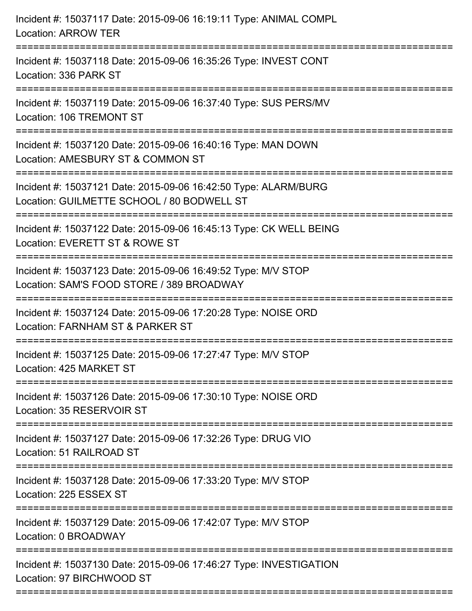| Incident #: 15037117 Date: 2015-09-06 16:19:11 Type: ANIMAL COMPL<br><b>Location: ARROW TER</b>                                      |
|--------------------------------------------------------------------------------------------------------------------------------------|
| Incident #: 15037118 Date: 2015-09-06 16:35:26 Type: INVEST CONT<br>Location: 336 PARK ST                                            |
| Incident #: 15037119 Date: 2015-09-06 16:37:40 Type: SUS PERS/MV<br>Location: 106 TREMONT ST                                         |
| Incident #: 15037120 Date: 2015-09-06 16:40:16 Type: MAN DOWN<br>Location: AMESBURY ST & COMMON ST                                   |
| Incident #: 15037121 Date: 2015-09-06 16:42:50 Type: ALARM/BURG<br>Location: GUILMETTE SCHOOL / 80 BODWELL ST                        |
| Incident #: 15037122 Date: 2015-09-06 16:45:13 Type: CK WELL BEING<br>Location: EVERETT ST & ROWE ST                                 |
| Incident #: 15037123 Date: 2015-09-06 16:49:52 Type: M/V STOP<br>Location: SAM'S FOOD STORE / 389 BROADWAY<br>====================== |
| Incident #: 15037124 Date: 2015-09-06 17:20:28 Type: NOISE ORD<br>Location: FARNHAM ST & PARKER ST                                   |
| Incident #: 15037125 Date: 2015-09-06 17:27:47 Type: M/V STOP<br>Location: 425 MARKET ST                                             |
| Incident #: 15037126 Date: 2015-09-06 17:30:10 Type: NOISE ORD<br>Location: 35 RESERVOIR ST                                          |
| Incident #: 15037127 Date: 2015-09-06 17:32:26 Type: DRUG VIO<br>Location: 51 RAILROAD ST                                            |
| Incident #: 15037128 Date: 2015-09-06 17:33:20 Type: M/V STOP<br>Location: 225 ESSEX ST                                              |
| Incident #: 15037129 Date: 2015-09-06 17:42:07 Type: M/V STOP<br>Location: 0 BROADWAY                                                |
| Incident #: 15037130 Date: 2015-09-06 17:46:27 Type: INVESTIGATION<br>Location: 97 BIRCHWOOD ST                                      |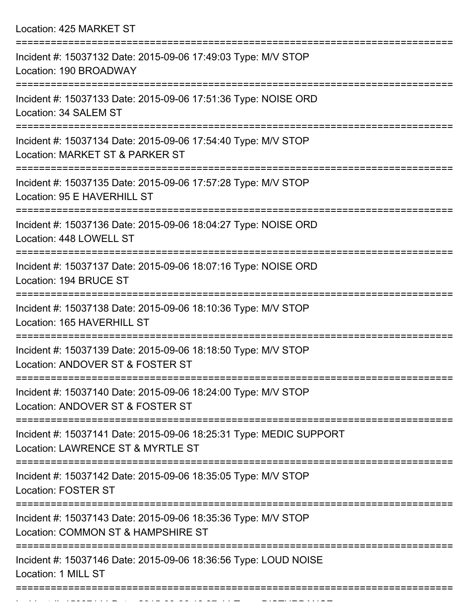Location: 425 MARKET ST

| Incident #: 15037132 Date: 2015-09-06 17:49:03 Type: M/V STOP<br>Location: 190 BROADWAY                 |
|---------------------------------------------------------------------------------------------------------|
| Incident #: 15037133 Date: 2015-09-06 17:51:36 Type: NOISE ORD<br>Location: 34 SALEM ST                 |
| Incident #: 15037134 Date: 2015-09-06 17:54:40 Type: M/V STOP<br>Location: MARKET ST & PARKER ST        |
| Incident #: 15037135 Date: 2015-09-06 17:57:28 Type: M/V STOP<br>Location: 95 E HAVERHILL ST            |
| Incident #: 15037136 Date: 2015-09-06 18:04:27 Type: NOISE ORD<br>Location: 448 LOWELL ST               |
| Incident #: 15037137 Date: 2015-09-06 18:07:16 Type: NOISE ORD<br>Location: 194 BRUCE ST                |
| Incident #: 15037138 Date: 2015-09-06 18:10:36 Type: M/V STOP<br>Location: 165 HAVERHILL ST             |
| Incident #: 15037139 Date: 2015-09-06 18:18:50 Type: M/V STOP<br>Location: ANDOVER ST & FOSTER ST       |
| Incident #: 15037140 Date: 2015-09-06 18:24:00 Type: M/V STOP<br>Location: ANDOVER ST & FOSTER ST       |
| Incident #: 15037141 Date: 2015-09-06 18:25:31 Type: MEDIC SUPPORT<br>Location: LAWRENCE ST & MYRTLE ST |
| Incident #: 15037142 Date: 2015-09-06 18:35:05 Type: M/V STOP<br><b>Location: FOSTER ST</b>             |
| Incident #: 15037143 Date: 2015-09-06 18:35:36 Type: M/V STOP<br>Location: COMMON ST & HAMPSHIRE ST     |
| Incident #: 15037146 Date: 2015-09-06 18:36:56 Type: LOUD NOISE<br>Location: 1 MILL ST                  |
|                                                                                                         |

Incident #: 15037144 Date: 2015 09 06 18:37:44 Type: DISTURBANCE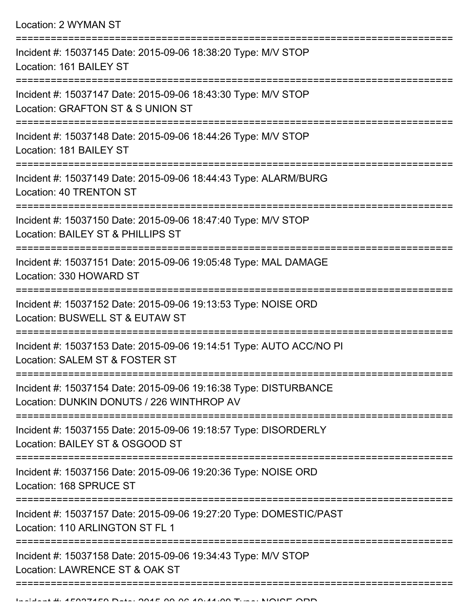| Incident #: 15037145 Date: 2015-09-06 18:38:20 Type: M/V STOP<br>Location: 161 BAILEY ST                      |
|---------------------------------------------------------------------------------------------------------------|
| Incident #: 15037147 Date: 2015-09-06 18:43:30 Type: M/V STOP<br>Location: GRAFTON ST & S UNION ST            |
| Incident #: 15037148 Date: 2015-09-06 18:44:26 Type: M/V STOP<br>Location: 181 BAILEY ST                      |
| Incident #: 15037149 Date: 2015-09-06 18:44:43 Type: ALARM/BURG<br>Location: 40 TRENTON ST                    |
| Incident #: 15037150 Date: 2015-09-06 18:47:40 Type: M/V STOP<br>Location: BAILEY ST & PHILLIPS ST            |
| Incident #: 15037151 Date: 2015-09-06 19:05:48 Type: MAL DAMAGE<br>Location: 330 HOWARD ST                    |
| Incident #: 15037152 Date: 2015-09-06 19:13:53 Type: NOISE ORD<br>Location: BUSWELL ST & EUTAW ST             |
| Incident #: 15037153 Date: 2015-09-06 19:14:51 Type: AUTO ACC/NO PI<br>Location: SALEM ST & FOSTER ST         |
| Incident #: 15037154 Date: 2015-09-06 19:16:38 Type: DISTURBANCE<br>Location: DUNKIN DONUTS / 226 WINTHROP AV |
| Incident #: 15037155 Date: 2015-09-06 19:18:57 Type: DISORDERLY<br>Location: BAILEY ST & OSGOOD ST            |
| Incident #: 15037156 Date: 2015-09-06 19:20:36 Type: NOISE ORD<br>Location: 168 SPRUCE ST                     |
| Incident #: 15037157 Date: 2015-09-06 19:27:20 Type: DOMESTIC/PAST<br>Location: 110 ARLINGTON ST FL 1         |
| Incident #: 15037158 Date: 2015-09-06 19:34:43 Type: M/V STOP<br>Location: LAWRENCE ST & OAK ST               |
|                                                                                                               |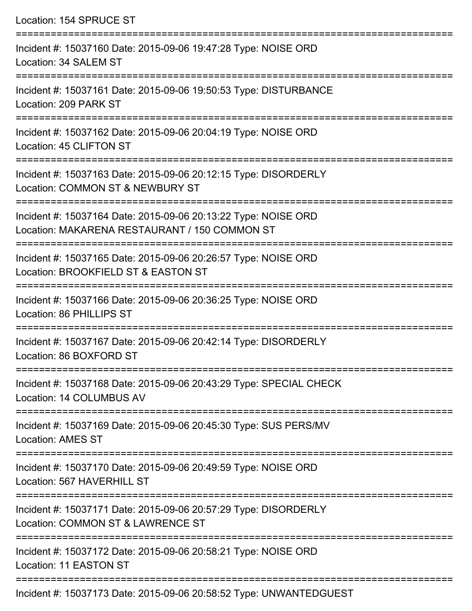| Location: 154 SPRUCE ST                                                                                                                                                                    |
|--------------------------------------------------------------------------------------------------------------------------------------------------------------------------------------------|
| Incident #: 15037160 Date: 2015-09-06 19:47:28 Type: NOISE ORD<br>Location: 34 SALEM ST                                                                                                    |
| Incident #: 15037161 Date: 2015-09-06 19:50:53 Type: DISTURBANCE<br>Location: 209 PARK ST                                                                                                  |
| Incident #: 15037162 Date: 2015-09-06 20:04:19 Type: NOISE ORD<br>Location: 45 CLIFTON ST                                                                                                  |
| Incident #: 15037163 Date: 2015-09-06 20:12:15 Type: DISORDERLY<br>Location: COMMON ST & NEWBURY ST                                                                                        |
| Incident #: 15037164 Date: 2015-09-06 20:13:22 Type: NOISE ORD<br>Location: MAKARENA RESTAURANT / 150 COMMON ST<br>==================================<br>================================= |
| Incident #: 15037165 Date: 2015-09-06 20:26:57 Type: NOISE ORD<br>Location: BROOKFIELD ST & EASTON ST                                                                                      |
| Incident #: 15037166 Date: 2015-09-06 20:36:25 Type: NOISE ORD<br>Location: 86 PHILLIPS ST                                                                                                 |
| Incident #: 15037167 Date: 2015-09-06 20:42:14 Type: DISORDERLY<br>Location: 86 BOXFORD ST                                                                                                 |
| ================================<br>Incident #: 15037168 Date: 2015-09-06 20:43:29 Type: SPECIAL CHECK<br>Location: 14 COLUMBUS AV                                                         |
| --------------<br>Incident #: 15037169 Date: 2015-09-06 20:45:30 Type: SUS PERS/MV<br><b>Location: AMES ST</b>                                                                             |
| Incident #: 15037170 Date: 2015-09-06 20:49:59 Type: NOISE ORD<br>Location: 567 HAVERHILL ST                                                                                               |
| Incident #: 15037171 Date: 2015-09-06 20:57:29 Type: DISORDERLY<br>Location: COMMON ST & LAWRENCE ST                                                                                       |
| Incident #: 15037172 Date: 2015-09-06 20:58:21 Type: NOISE ORD<br>Location: 11 EASTON ST                                                                                                   |
|                                                                                                                                                                                            |

Incident #: 15037173 Date: 2015-09-06 20:58:52 Type: UNWANTEDGUEST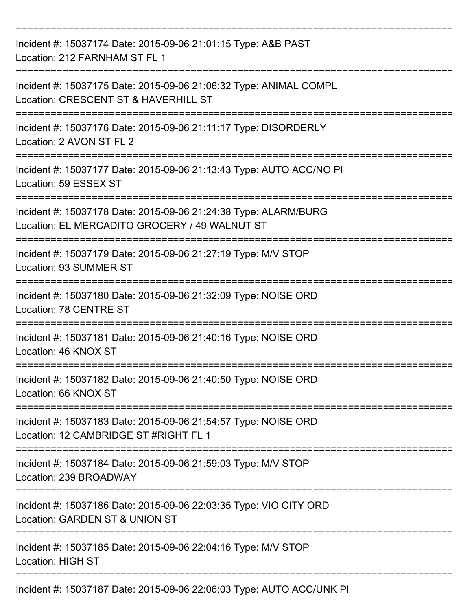| Incident #: 15037174 Date: 2015-09-06 21:01:15 Type: A&B PAST<br>Location: 212 FARNHAM ST FL 1                   |
|------------------------------------------------------------------------------------------------------------------|
| Incident #: 15037175 Date: 2015-09-06 21:06:32 Type: ANIMAL COMPL<br>Location: CRESCENT ST & HAVERHILL ST        |
| Incident #: 15037176 Date: 2015-09-06 21:11:17 Type: DISORDERLY<br>Location: 2 AVON ST FL 2                      |
| Incident #: 15037177 Date: 2015-09-06 21:13:43 Type: AUTO ACC/NO PI<br>Location: 59 ESSEX ST                     |
| Incident #: 15037178 Date: 2015-09-06 21:24:38 Type: ALARM/BURG<br>Location: EL MERCADITO GROCERY / 49 WALNUT ST |
| Incident #: 15037179 Date: 2015-09-06 21:27:19 Type: M/V STOP<br>Location: 93 SUMMER ST                          |
| Incident #: 15037180 Date: 2015-09-06 21:32:09 Type: NOISE ORD<br>Location: 78 CENTRE ST                         |
| Incident #: 15037181 Date: 2015-09-06 21:40:16 Type: NOISE ORD<br>Location: 46 KNOX ST                           |
| Incident #: 15037182 Date: 2015-09-06 21:40:50 Type: NOISE ORD<br>Location: 66 KNOX ST                           |
| Incident #: 15037183 Date: 2015-09-06 21:54:57 Type: NOISE ORD<br>Location: 12 CAMBRIDGE ST #RIGHT FL 1          |
| Incident #: 15037184 Date: 2015-09-06 21:59:03 Type: M/V STOP<br>Location: 239 BROADWAY                          |
| Incident #: 15037186 Date: 2015-09-06 22:03:35 Type: VIO CITY ORD<br>Location: GARDEN ST & UNION ST              |
| Incident #: 15037185 Date: 2015-09-06 22:04:16 Type: M/V STOP<br><b>Location: HIGH ST</b>                        |
| Incident #: 15037187 Date: 2015-09-06 22:06:03 Type: AUTO ACC/UNK PI                                             |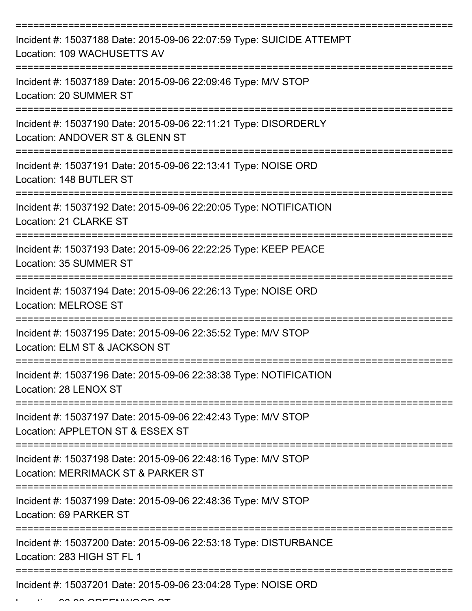| Incident #: 15037188 Date: 2015-09-06 22:07:59 Type: SUICIDE ATTEMPT<br>Location: 109 WACHUSETTS AV           |
|---------------------------------------------------------------------------------------------------------------|
| Incident #: 15037189 Date: 2015-09-06 22:09:46 Type: M/V STOP<br>Location: 20 SUMMER ST                       |
| Incident #: 15037190 Date: 2015-09-06 22:11:21 Type: DISORDERLY<br>Location: ANDOVER ST & GLENN ST            |
| Incident #: 15037191 Date: 2015-09-06 22:13:41 Type: NOISE ORD<br>Location: 148 BUTLER ST                     |
| Incident #: 15037192 Date: 2015-09-06 22:20:05 Type: NOTIFICATION<br>Location: 21 CLARKE ST                   |
| Incident #: 15037193 Date: 2015-09-06 22:22:25 Type: KEEP PEACE<br>Location: 35 SUMMER ST                     |
| Incident #: 15037194 Date: 2015-09-06 22:26:13 Type: NOISE ORD<br><b>Location: MELROSE ST</b>                 |
| ===========<br>Incident #: 15037195 Date: 2015-09-06 22:35:52 Type: M/V STOP<br>Location: ELM ST & JACKSON ST |
| Incident #: 15037196 Date: 2015-09-06 22:38:38 Type: NOTIFICATION<br>Location: 28 LENOX ST                    |
| Incident #: 15037197 Date: 2015-09-06 22:42:43 Type: M/V STOP<br>Location: APPLETON ST & ESSEX ST             |
| Incident #: 15037198 Date: 2015-09-06 22:48:16 Type: M/V STOP<br>Location: MERRIMACK ST & PARKER ST           |
| Incident #: 15037199 Date: 2015-09-06 22:48:36 Type: M/V STOP<br>Location: 69 PARKER ST                       |
| Incident #: 15037200 Date: 2015-09-06 22:53:18 Type: DISTURBANCE<br>Location: 283 HIGH ST FL 1                |
| Incident #: 15037201 Date: 2015-09-06 23:04:28 Type: NOISE ORD                                                |